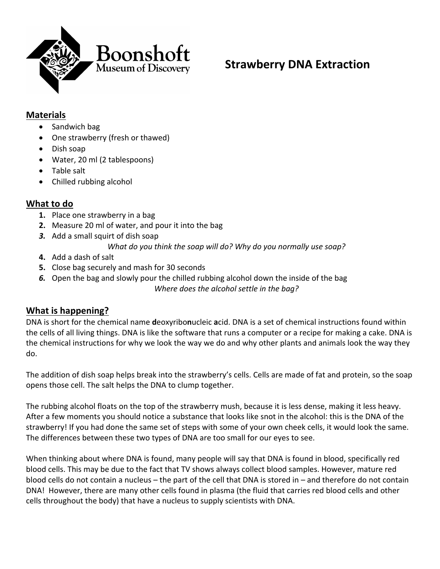

# **Strawberry DNA Extraction**

#### **Materials**

- Sandwich bag
- One strawberry (fresh or thawed)
- Dish soap
- Water, 20 ml (2 tablespoons)
- Table salt
- Chilled rubbing alcohol

#### **What to do**

- **1.** Place one strawberry in a bag
- **2.** Measure 20 ml of water, and pour it into the bag
- *3.* Add a small squirt of dish soap
	- *What do you think the soap will do? Why do you normally use soap?*
- **4.** Add a dash of salt
- **5.** Close bag securely and mash for 30 seconds
- *6.* Open the bag and slowly pour the chilled rubbing alcohol down the inside of the bag *Where does the alcohol settle in the bag?*

#### **What is happening?**

DNA is short for the chemical name **d**eoxyribo**n**ucleic **a**cid. DNA is a set of chemical instructions found within the cells of all living things. DNA is like the software that runs a computer or a recipe for making a cake. DNA is the chemical instructions for why we look the way we do and why other plants and animals look the way they do.

The addition of dish soap helps break into the strawberry's cells. Cells are made of fat and protein, so the soap opens those cell. The salt helps the DNA to clump together.

The rubbing alcohol floats on the top of the strawberry mush, because it is less dense, making it less heavy. After a few moments you should notice a substance that looks like snot in the alcohol: this is the DNA of the strawberry! If you had done the same set of steps with some of your own cheek cells, it would look the same. The differences between these two types of DNA are too small for our eyes to see.

When thinking about where DNA is found, many people will say that DNA is found in blood, specifically red blood cells. This may be due to the fact that TV shows always collect blood samples. However, mature red blood cells do not contain a nucleus – the part of the cell that DNA is stored in – and therefore do not contain DNA! However, there are many other cells found in plasma (the fluid that carries red blood cells and other cells throughout the body) that have a nucleus to supply scientists with DNA.